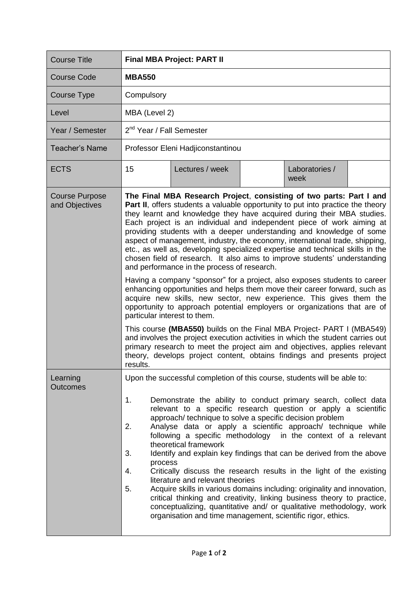| <b>Course Title</b>                     | <b>Final MBA Project: PART II</b>                                                                                                                                                                                                                                                                                                                                                                                                                                                                                                                                                                                                                                                                                                                                                                                                                                                                                                                                                                                                                                                                                                                                                                                                                                                                                                              |  |  |  |
|-----------------------------------------|------------------------------------------------------------------------------------------------------------------------------------------------------------------------------------------------------------------------------------------------------------------------------------------------------------------------------------------------------------------------------------------------------------------------------------------------------------------------------------------------------------------------------------------------------------------------------------------------------------------------------------------------------------------------------------------------------------------------------------------------------------------------------------------------------------------------------------------------------------------------------------------------------------------------------------------------------------------------------------------------------------------------------------------------------------------------------------------------------------------------------------------------------------------------------------------------------------------------------------------------------------------------------------------------------------------------------------------------|--|--|--|
| <b>Course Code</b>                      | <b>MBA550</b>                                                                                                                                                                                                                                                                                                                                                                                                                                                                                                                                                                                                                                                                                                                                                                                                                                                                                                                                                                                                                                                                                                                                                                                                                                                                                                                                  |  |  |  |
| Course Type                             | Compulsory                                                                                                                                                                                                                                                                                                                                                                                                                                                                                                                                                                                                                                                                                                                                                                                                                                                                                                                                                                                                                                                                                                                                                                                                                                                                                                                                     |  |  |  |
| Level                                   | MBA (Level 2)                                                                                                                                                                                                                                                                                                                                                                                                                                                                                                                                                                                                                                                                                                                                                                                                                                                                                                                                                                                                                                                                                                                                                                                                                                                                                                                                  |  |  |  |
| Year / Semester                         | 2 <sup>nd</sup> Year / Fall Semester                                                                                                                                                                                                                                                                                                                                                                                                                                                                                                                                                                                                                                                                                                                                                                                                                                                                                                                                                                                                                                                                                                                                                                                                                                                                                                           |  |  |  |
| <b>Teacher's Name</b>                   | Professor Eleni Hadjiconstantinou                                                                                                                                                                                                                                                                                                                                                                                                                                                                                                                                                                                                                                                                                                                                                                                                                                                                                                                                                                                                                                                                                                                                                                                                                                                                                                              |  |  |  |
| <b>ECTS</b>                             | 15<br>Lectures / week<br>Laboratories /<br>week                                                                                                                                                                                                                                                                                                                                                                                                                                                                                                                                                                                                                                                                                                                                                                                                                                                                                                                                                                                                                                                                                                                                                                                                                                                                                                |  |  |  |
| <b>Course Purpose</b><br>and Objectives | The Final MBA Research Project, consisting of two parts: Part I and<br>Part II, offers students a valuable opportunity to put into practice the theory<br>they learnt and knowledge they have acquired during their MBA studies.<br>Each project is an individual and independent piece of work aiming at<br>providing students with a deeper understanding and knowledge of some<br>aspect of management, industry, the economy, international trade, shipping,<br>etc., as well as, developing specialized expertise and technical skills in the<br>chosen field of research. It also aims to improve students' understanding<br>and performance in the process of research.<br>Having a company "sponsor" for a project, also exposes students to career<br>enhancing opportunities and helps them move their career forward, such as<br>acquire new skills, new sector, new experience. This gives them the<br>opportunity to approach potential employers or organizations that are of<br>particular interest to them.<br>This course (MBA550) builds on the Final MBA Project- PART I (MBA549)<br>and involves the project execution activities in which the student carries out<br>primary research to meet the project aim and objectives, applies relevant<br>theory, develops project content, obtains findings and presents project |  |  |  |
| Learning<br><b>Outcomes</b>             | Upon the successful completion of this course, students will be able to:<br>1.<br>Demonstrate the ability to conduct primary search, collect data<br>relevant to a specific research question or apply a scientific<br>approach/ technique to solve a specific decision problem<br>2.<br>Analyse data or apply a scientific approach/ technique while<br>following a specific methodology in the context of a relevant<br>theoretical framework<br>Identify and explain key findings that can be derived from the above<br>3.<br>process<br>Critically discuss the research results in the light of the existing<br>4.<br>literature and relevant theories<br>5.<br>Acquire skills in various domains including: originality and innovation,<br>critical thinking and creativity, linking business theory to practice,<br>conceptualizing, quantitative and/ or qualitative methodology, work<br>organisation and time management, scientific rigor, ethics.                                                                                                                                                                                                                                                                                                                                                                                   |  |  |  |